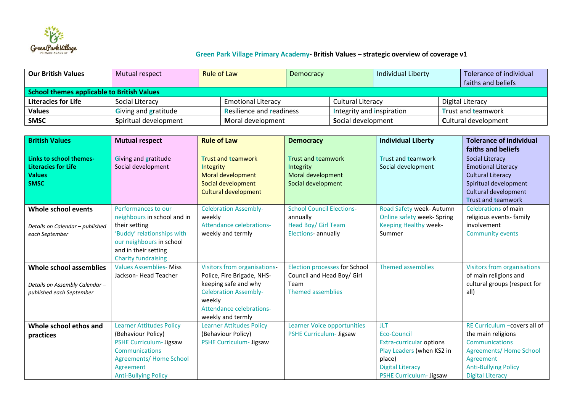

## **Green Park Village Primary Academy- British Values – strategic overview of coverage v1**

| l Our British Values                       | Mutual respect              | <b>Rule of Law</b>              | Democracy |                           | Individual Liberty |                           | Tolerance of individual     |  |
|--------------------------------------------|-----------------------------|---------------------------------|-----------|---------------------------|--------------------|---------------------------|-----------------------------|--|
|                                            |                             |                                 |           |                           |                    |                           | faiths and beliefs          |  |
| School themes applicable to British Values |                             |                                 |           |                           |                    |                           |                             |  |
| <b>Literacies for Life</b>                 | Social Literacy             | <b>Emotional Literacy</b>       |           |                           | Cultural Literacy  |                           | Digital Literacy            |  |
| <b>Values</b>                              | <b>Giving and gratitude</b> | <b>Resilience and readiness</b> |           | Integrity and inspiration |                    | <b>Trust and teamwork</b> |                             |  |
| <b>SMSC</b>                                | Spiritual development       | Moral development               |           | Social development        |                    |                           | <b>Cultural development</b> |  |

| <b>British Values</b>                                      | <b>Mutual respect</b>                                        | <b>Rule of Law</b>                                         | <b>Democracy</b>                                                   | <b>Individual Liberty</b>       | <b>Tolerance of individual</b>                       |  |
|------------------------------------------------------------|--------------------------------------------------------------|------------------------------------------------------------|--------------------------------------------------------------------|---------------------------------|------------------------------------------------------|--|
|                                                            |                                                              |                                                            |                                                                    |                                 | faiths and beliefs                                   |  |
| Links to school themes-                                    | Giving and gratitude                                         | <b>Trust and teamwork</b>                                  | <b>Trust and teamwork</b>                                          | <b>Trust and teamwork</b>       | Social Literacy                                      |  |
| <b>Literacies for Life</b>                                 | Social development                                           | <b>Integrity</b>                                           | Integrity                                                          | Social development              | <b>Emotional Literacy</b>                            |  |
| <b>Values</b>                                              |                                                              | Moral development                                          | Moral development                                                  |                                 | <b>Cultural Literacy</b>                             |  |
| <b>SMSC</b>                                                |                                                              | Social development                                         | Social development                                                 |                                 | Spiritual development                                |  |
|                                                            |                                                              | <b>Cultural development</b>                                |                                                                    |                                 | Cultural development                                 |  |
|                                                            |                                                              |                                                            |                                                                    |                                 | <b>Trust and teamwork</b>                            |  |
| Whole school events                                        | Performances to our                                          | <b>Celebration Assembly-</b>                               | <b>School Council Elections-</b>                                   | Road Safety week- Autumn        | <b>Celebrations of main</b>                          |  |
|                                                            | neighbours in school and in                                  | weekly                                                     | annually                                                           | Online safety week- Spring      | religious events-family                              |  |
| Details on Calendar - published                            | their setting                                                | Attendance celebrations-                                   | Head Boy/ Girl Team                                                | Keeping Healthy week-           | involvement                                          |  |
| each September                                             | 'Buddy' relationships with                                   | weekly and termly                                          | Elections- annually                                                | Summer                          | <b>Community events</b>                              |  |
|                                                            | our neighbours in school                                     |                                                            |                                                                    |                                 |                                                      |  |
|                                                            | and in their setting                                         |                                                            |                                                                    |                                 |                                                      |  |
|                                                            | <b>Charity fundraising</b><br><b>Values Assemblies- Miss</b> |                                                            |                                                                    | Themed assemblies               |                                                      |  |
| <b>Whole school assemblies</b>                             | Jackson-Head Teacher                                         | Visitors from organisations-<br>Police, Fire Brigade, NHS- | <b>Election processes for School</b><br>Council and Head Boy/ Girl |                                 | Visitors from organisations<br>of main religions and |  |
|                                                            |                                                              | keeping safe and why                                       | Team                                                               |                                 | cultural groups (respect for                         |  |
| Details on Assembly Calendar -<br>published each September |                                                              | <b>Celebration Assembly-</b>                               | <b>Themed assemblies</b>                                           |                                 | all)                                                 |  |
|                                                            |                                                              | weekly                                                     |                                                                    |                                 |                                                      |  |
|                                                            |                                                              | Attendance celebrations-                                   |                                                                    |                                 |                                                      |  |
|                                                            |                                                              | weekly and termly                                          |                                                                    |                                 |                                                      |  |
| Whole school ethos and                                     | <b>Learner Attitudes Policy</b>                              | <b>Learner Attitudes Policy</b>                            | Learner Voice opportunities                                        | JLT.                            | RE Curriculum - covers all of                        |  |
| practices                                                  | (Behaviour Policy)                                           | (Behaviour Policy)                                         | PSHE Curriculum- Jigsaw                                            | Eco-Council                     | the main religions                                   |  |
|                                                            | PSHE Curriculum- Jigsaw                                      | <b>PSHE Curriculum- Jigsaw</b>                             |                                                                    | <b>Extra-curricular options</b> | <b>Communications</b>                                |  |
|                                                            | <b>Communications</b>                                        |                                                            |                                                                    | Play Leaders (when KS2 in       | Agreements/Home School                               |  |
|                                                            | <b>Agreements/ Home School</b>                               |                                                            |                                                                    | place)                          | Agreement                                            |  |
|                                                            | Agreement                                                    |                                                            |                                                                    | <b>Digital Literacy</b>         | <b>Anti-Bullying Policy</b>                          |  |
|                                                            | <b>Anti-Bullying Policy</b>                                  |                                                            |                                                                    | <b>PSHE Curriculum- Jigsaw</b>  | <b>Digital Literacy</b>                              |  |